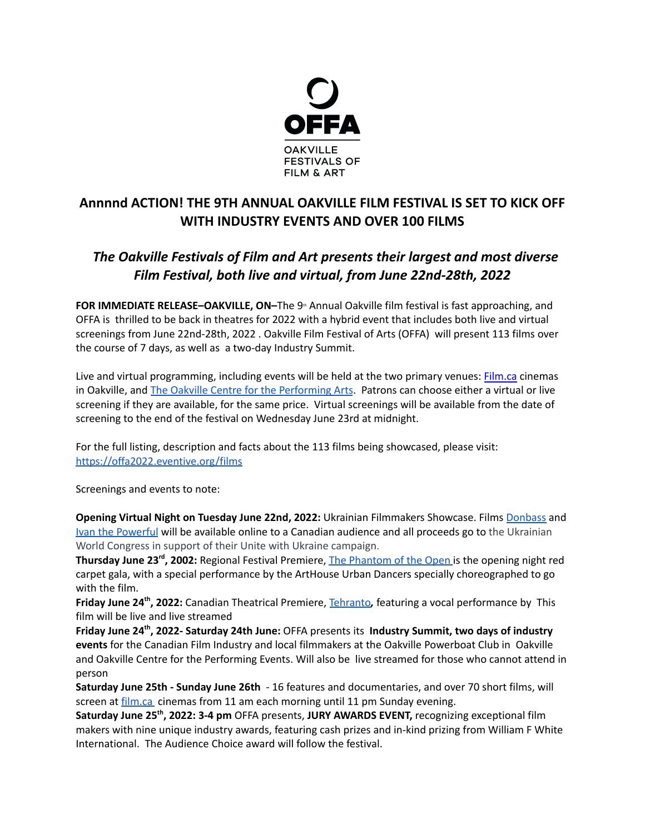

## **Annnnd ACTION! THE 9TH ANNUAL OAKVILLE FILM FESTIVAL IS SET TO KICK OFF WITH INDUSTRY EVENTS AND OVER 100 FILMS**

## *The Oakville Festivals of Film and Art presents their largest and most diverse Film Festival, both live and virtual, from June 22nd-28th, 2022*

**FOR IMMEDIATE RELEASE-OAKVILLE, ON-The 9<sup>th</sup> Annual Oakville film festival is fast approaching, and** OFFA is thrilled to be back in theatres for 2022 with a hybrid event that includes both live and virtual screenings from June 22nd-28th, 2022 . Oakville Film Festival of Arts (OFFA) will present 113 films over the course of 7 days, as well as a two-day Industry Summit.

Live and virtual programming, including events will be held at the two primary venues: [Film.ca](http://film.ca) cinemas in Oakville, and The Oakville Centre for the [Performing](https://www.oakvillecentre.ca/) Arts. Patrons can choose either a virtual or live screening if they are available, for the same price. Virtual screenings will be available from the date of screening to the end of the festival on Wednesday June 23rd at midnight.

For the full listing, description and facts about the 113 films being showcased, please visit: <https://offa2022.eventive.org/films>

Screenings and events to note:

**Opening Virtual Night on Tuesday June 22nd, 2022:** Ukrainian Filmmakers Showcase. Films [Donbass](https://offa2022.eventive.org/films/6276d0627f4296003703db1a) and Ivan the [Powerful](https://offa2022.eventive.org/films/6279cfc2e8ae0f004cb201ca) will be available online to a Canadian audience and all proceeds go to the Ukrainian World Congress in support of their Unite with Ukraine campaign.

**Thursday June 23 rd , 2002:** Regional Festival Premiere, The [Phantom](https://offa2022.eventive.org/films/62618f18337c67006ea9d806) of the Open is the opening night red carpet gala, with a special performance by the ArtHouse Urban Dancers specially choreographed to go with the film.

**Friday June 24<sup>th</sup>, 2022:** Canadian Theatrical Premiere, [Tehranto](https://offa2022.eventive.org/films/6261aa5d337c67006ea9ea30), featuring a vocal performance by This film will be live and live streamed

**Friday June 24 th , 2022- Saturday 24th June:** OFFA presents its **Industry Summit, two days of industry events** for the Canadian Film Industry and local filmmakers at the Oakville Powerboat Club in Oakville and Oakville Centre for the Performing Events. Will also be live streamed for those who cannot attend in person

**Saturday June 25th - Sunday June 26th** - 16 features and documentaries, and over 70 short films, will screen at [film.ca](https://film.ca/) cinemas from 11 am each morning until 11 pm Sunday evening.

**Saturday June 25 th , 2022: 3-4 pm** OFFA presents, **JURY AWARDS EVENT,** recognizing exceptional film makers with nine unique industry awards, featuring cash prizes and in-kind prizing from William F White International. The Audience Choice award will follow the festival.